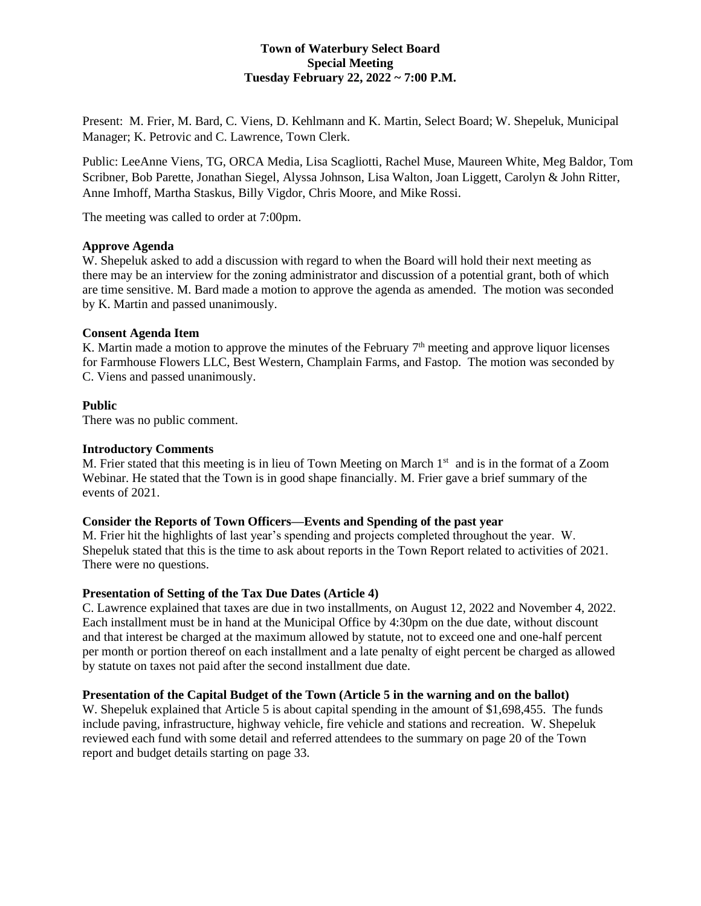## **Town of Waterbury Select Board Special Meeting Tuesday February 22, 2022 ~ 7:00 P.M.**

Present: M. Frier, M. Bard, C. Viens, D. Kehlmann and K. Martin, Select Board; W. Shepeluk, Municipal Manager; K. Petrovic and C. Lawrence, Town Clerk.

Public: LeeAnne Viens, TG, ORCA Media, Lisa Scagliotti, Rachel Muse, Maureen White, Meg Baldor, Tom Scribner, Bob Parette, Jonathan Siegel, Alyssa Johnson, Lisa Walton, Joan Liggett, Carolyn & John Ritter, Anne Imhoff, Martha Staskus, Billy Vigdor, Chris Moore, and Mike Rossi.

The meeting was called to order at 7:00pm.

## **Approve Agenda**

W. Shepeluk asked to add a discussion with regard to when the Board will hold their next meeting as there may be an interview for the zoning administrator and discussion of a potential grant, both of which are time sensitive. M. Bard made a motion to approve the agenda as amended. The motion was seconded by K. Martin and passed unanimously.

## **Consent Agenda Item**

K. Martin made a motion to approve the minutes of the February 7<sup>th</sup> meeting and approve liquor licenses for Farmhouse Flowers LLC, Best Western, Champlain Farms, and Fastop. The motion was seconded by C. Viens and passed unanimously.

## **Public**

There was no public comment.

## **Introductory Comments**

M. Frier stated that this meeting is in lieu of Town Meeting on March  $1<sup>st</sup>$  and is in the format of a Zoom Webinar. He stated that the Town is in good shape financially. M. Frier gave a brief summary of the events of 2021.

#### **Consider the Reports of Town Officers—Events and Spending of the past year**

M. Frier hit the highlights of last year's spending and projects completed throughout the year. W. Shepeluk stated that this is the time to ask about reports in the Town Report related to activities of 2021. There were no questions.

#### **Presentation of Setting of the Tax Due Dates (Article 4)**

C. Lawrence explained that taxes are due in two installments, on August 12, 2022 and November 4, 2022. Each installment must be in hand at the Municipal Office by 4:30pm on the due date, without discount and that interest be charged at the maximum allowed by statute, not to exceed one and one-half percent per month or portion thereof on each installment and a late penalty of eight percent be charged as allowed by statute on taxes not paid after the second installment due date.

## **Presentation of the Capital Budget of the Town (Article 5 in the warning and on the ballot)**

W. Shepeluk explained that Article 5 is about capital spending in the amount of \$1,698,455. The funds include paving, infrastructure, highway vehicle, fire vehicle and stations and recreation. W. Shepeluk reviewed each fund with some detail and referred attendees to the summary on page 20 of the Town report and budget details starting on page 33.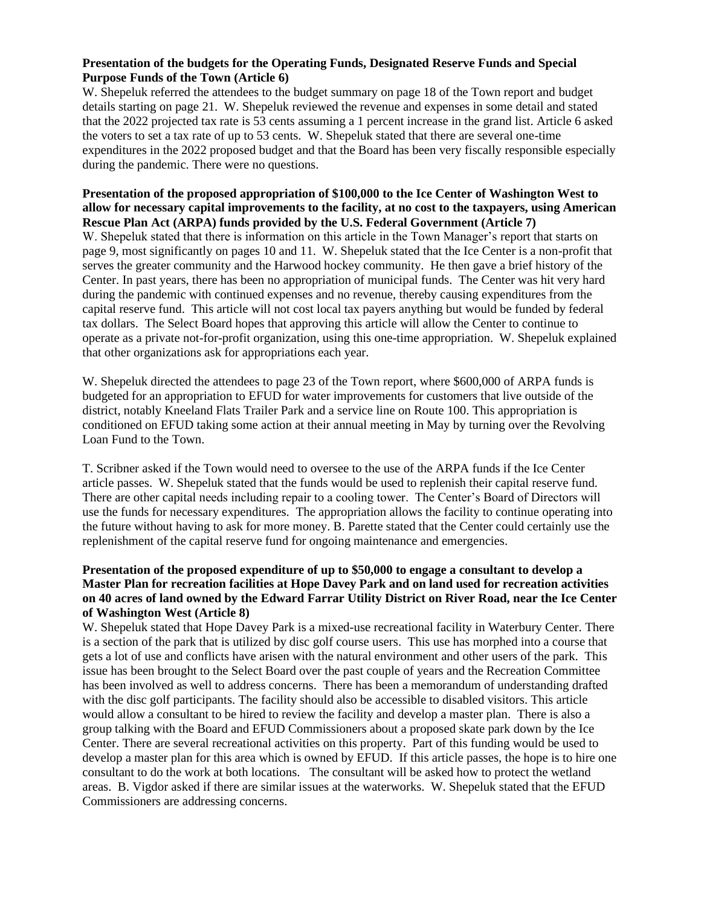# **Presentation of the budgets for the Operating Funds, Designated Reserve Funds and Special Purpose Funds of the Town (Article 6)**

W. Shepeluk referred the attendees to the budget summary on page 18 of the Town report and budget details starting on page 21. W. Shepeluk reviewed the revenue and expenses in some detail and stated that the 2022 projected tax rate is 53 cents assuming a 1 percent increase in the grand list. Article 6 asked the voters to set a tax rate of up to 53 cents. W. Shepeluk stated that there are several one-time expenditures in the 2022 proposed budget and that the Board has been very fiscally responsible especially during the pandemic. There were no questions.

## **Presentation of the proposed appropriation of \$100,000 to the Ice Center of Washington West to allow for necessary capital improvements to the facility, at no cost to the taxpayers, using American Rescue Plan Act (ARPA) funds provided by the U.S. Federal Government (Article 7)**

W. Shepeluk stated that there is information on this article in the Town Manager's report that starts on page 9, most significantly on pages 10 and 11. W. Shepeluk stated that the Ice Center is a non-profit that serves the greater community and the Harwood hockey community. He then gave a brief history of the Center. In past years, there has been no appropriation of municipal funds. The Center was hit very hard during the pandemic with continued expenses and no revenue, thereby causing expenditures from the capital reserve fund. This article will not cost local tax payers anything but would be funded by federal tax dollars. The Select Board hopes that approving this article will allow the Center to continue to operate as a private not-for-profit organization, using this one-time appropriation. W. Shepeluk explained that other organizations ask for appropriations each year.

W. Shepeluk directed the attendees to page 23 of the Town report, where \$600,000 of ARPA funds is budgeted for an appropriation to EFUD for water improvements for customers that live outside of the district, notably Kneeland Flats Trailer Park and a service line on Route 100. This appropriation is conditioned on EFUD taking some action at their annual meeting in May by turning over the Revolving Loan Fund to the Town.

T. Scribner asked if the Town would need to oversee to the use of the ARPA funds if the Ice Center article passes. W. Shepeluk stated that the funds would be used to replenish their capital reserve fund. There are other capital needs including repair to a cooling tower. The Center's Board of Directors will use the funds for necessary expenditures. The appropriation allows the facility to continue operating into the future without having to ask for more money. B. Parette stated that the Center could certainly use the replenishment of the capital reserve fund for ongoing maintenance and emergencies.

# **Presentation of the proposed expenditure of up to \$50,000 to engage a consultant to develop a Master Plan for recreation facilities at Hope Davey Park and on land used for recreation activities on 40 acres of land owned by the Edward Farrar Utility District on River Road, near the Ice Center of Washington West (Article 8)**

W. Shepeluk stated that Hope Davey Park is a mixed-use recreational facility in Waterbury Center. There is a section of the park that is utilized by disc golf course users. This use has morphed into a course that gets a lot of use and conflicts have arisen with the natural environment and other users of the park. This issue has been brought to the Select Board over the past couple of years and the Recreation Committee has been involved as well to address concerns. There has been a memorandum of understanding drafted with the disc golf participants. The facility should also be accessible to disabled visitors. This article would allow a consultant to be hired to review the facility and develop a master plan. There is also a group talking with the Board and EFUD Commissioners about a proposed skate park down by the Ice Center. There are several recreational activities on this property. Part of this funding would be used to develop a master plan for this area which is owned by EFUD. If this article passes, the hope is to hire one consultant to do the work at both locations. The consultant will be asked how to protect the wetland areas. B. Vigdor asked if there are similar issues at the waterworks. W. Shepeluk stated that the EFUD Commissioners are addressing concerns.